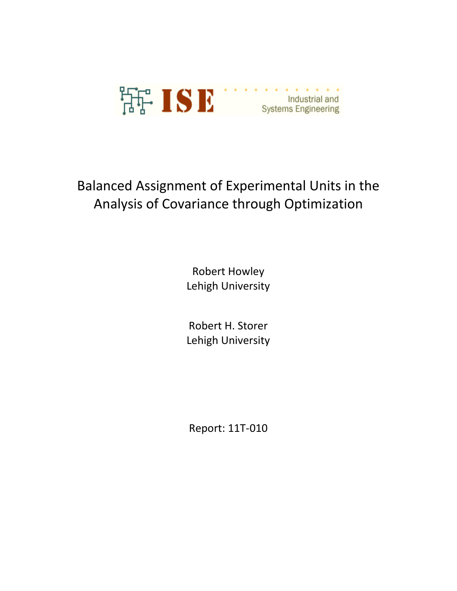

# Balanced Assignment of Experimental Units in the Analysis of Covariance through Optimization

Robert Howley Lehigh University

Robert H. Storer Lehigh University

Report: 11T-010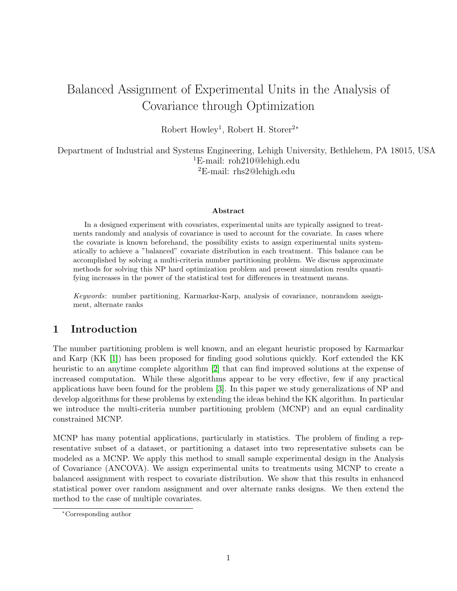# Balanced Assignment of Experimental Units in the Analysis of Covariance through Optimization

Robert Howley<sup>1</sup>, Robert H. Storer<sup>2∗</sup>

Department of Industrial and Systems Engineering, Lehigh University, Bethlehem, PA 18015, USA <sup>1</sup>E-mail: roh210@lehigh.edu <sup>2</sup>E-mail: rhs2@lehigh.edu

#### Abstract

In a designed experiment with covariates, experimental units are typically assigned to treatments randomly and analysis of covariance is used to account for the covariate. In cases where the covariate is known beforehand, the possibility exists to assign experimental units systematically to achieve a "balanced" covariate distribution in each treatment. This balance can be accomplished by solving a multi-criteria number partitioning problem. We discuss approximate methods for solving this NP hard optimization problem and present simulation results quantifying increases in the power of the statistical test for differences in treatment means.

Keywords: number partitioning, Karmarkar-Karp, analysis of covariance, nonrandom assignment, alternate ranks

# 1 Introduction

The number partitioning problem is well known, and an elegant heuristic proposed by Karmarkar and Karp (KK [\[1\]](#page-17-0)) has been proposed for finding good solutions quickly. Korf extended the KK heuristic to an anytime complete algorithm [\[2\]](#page-17-1) that can find improved solutions at the expense of increased computation. While these algorithms appear to be very effective, few if any practical applications have been found for the problem [\[3\]](#page-17-2). In this paper we study generalizations of NP and develop algorithms for these problems by extending the ideas behind the KK algorithm. In particular we introduce the multi-criteria number partitioning problem (MCNP) and an equal cardinality constrained MCNP.

MCNP has many potential applications, particularly in statistics. The problem of finding a representative subset of a dataset, or partitioning a dataset into two representative subsets can be modeled as a MCNP. We apply this method to small sample experimental design in the Analysis of Covariance (ANCOVA). We assign experimental units to treatments using MCNP to create a balanced assignment with respect to covariate distribution. We show that this results in enhanced statistical power over random assignment and over alternate ranks designs. We then extend the method to the case of multiple covariates.

<sup>∗</sup>Corresponding author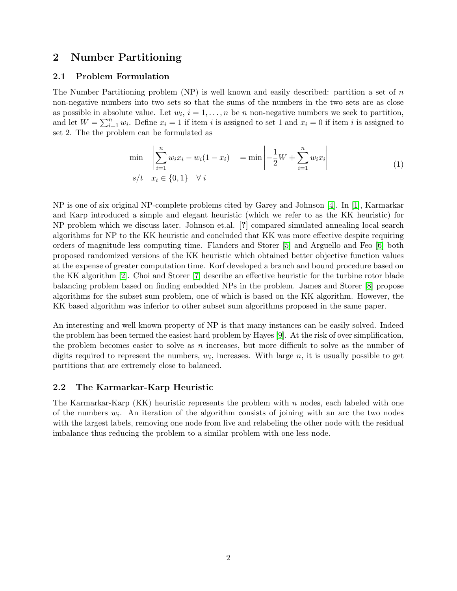## 2 Number Partitioning

#### 2.1 Problem Formulation

The Number Partitioning problem  $(NP)$  is well known and easily described: partition a set of n non-negative numbers into two sets so that the sums of the numbers in the two sets are as close as possible in absolute value. Let  $w_i$ ,  $i = 1, ..., n$  be n non-negative numbers we seek to partition, and let  $W = \sum_{i=1}^{n} w_i$ . Define  $x_i = 1$  if item i is assigned to set 1 and  $x_i = 0$  if item i is assigned to set 2. The the problem can be formulated as

$$
\min_{\substack{i=1 \ s/t}} \left| \sum_{i=1}^{n} w_i x_i - w_i (1 - x_i) \right| = \min \left| -\frac{1}{2} W + \sum_{i=1}^{n} w_i x_i \right|
$$
\n
$$
s/t \quad x_i \in \{0, 1\} \quad \forall \ i
$$
\n(1)

NP is one of six original NP-complete problems cited by Garey and Johnson [\[4\]](#page-17-3). In [\[1\]](#page-17-0), Karmarkar and Karp introduced a simple and elegant heuristic (which we refer to as the KK heuristic) for NP problem which we discuss later. Johnson et.al. [?] compared simulated annealing local search algorithms for NP to the KK heuristic and concluded that KK was more effective despite requiring orders of magnitude less computing time. Flanders and Storer [\[5\]](#page-17-4) and Arguello and Feo [\[6\]](#page-17-5) both proposed randomized versions of the KK heuristic which obtained better objective function values at the expense of greater computation time. Korf developed a branch and bound procedure based on the KK algorithm [\[2\]](#page-17-1). Choi and Storer [\[7\]](#page-17-6) describe an effective heuristic for the turbine rotor blade balancing problem based on finding embedded NPs in the problem. James and Storer [\[8\]](#page-17-7) propose algorithms for the subset sum problem, one of which is based on the KK algorithm. However, the KK based algorithm was inferior to other subset sum algorithms proposed in the same paper.

An interesting and well known property of NP is that many instances can be easily solved. Indeed the problem has been termed the easiest hard problem by Hayes [\[9\]](#page-17-8). At the risk of over simplification, the problem becomes easier to solve as n increases, but more difficult to solve as the number of digits required to represent the numbers,  $w_i$ , increases. With large  $n$ , it is usually possible to get partitions that are extremely close to balanced.

#### 2.2 The Karmarkar-Karp Heuristic

The Karmarkar-Karp  $(KK)$  heuristic represents the problem with n nodes, each labeled with one of the numbers  $w_i$ . An iteration of the algorithm consists of joining with an arc the two nodes with the largest labels, removing one node from live and relabeling the other node with the residual imbalance thus reducing the problem to a similar problem with one less node.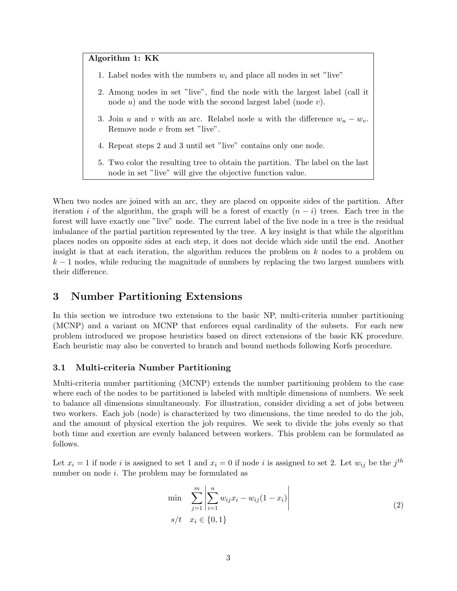#### Algorithm 1: KK

- 1. Label nodes with the numbers  $w_i$  and place all nodes in set "live"
- 2. Among nodes in set "live", find the node with the largest label (call it node  $u$ ) and the node with the second largest label (node  $v$ ).
- 3. Join u and v with an arc. Relabel node u with the difference  $w_u w_v$ . Remove node  $v$  from set "live".
- 4. Repeat steps 2 and 3 until set "live" contains only one node.
- 5. Two color the resulting tree to obtain the partition. The label on the last node in set "live" will give the objective function value.

When two nodes are joined with an arc, they are placed on opposite sides of the partition. After iteration i of the algorithm, the graph will be a forest of exactly  $(n - i)$  trees. Each tree in the forest will have exactly one "live" node. The current label of the live node in a tree is the residual imbalance of the partial partition represented by the tree. A key insight is that while the algorithm places nodes on opposite sides at each step, it does not decide which side until the end. Another insight is that at each iteration, the algorithm reduces the problem on  $k$  nodes to a problem on  $k-1$  nodes, while reducing the magnitude of numbers by replacing the two largest numbers with their difference.

### 3 Number Partitioning Extensions

In this section we introduce two extensions to the basic NP, multi-criteria number partitioning (MCNP) and a variant on MCNP that enforces equal cardinality of the subsets. For each new problem introduced we propose heuristics based on direct extensions of the basic KK procedure. Each heuristic may also be converted to branch and bound methods following Korfs procedure.

#### <span id="page-3-0"></span>3.1 Multi-criteria Number Partitioning

Multi-criteria number partitioning (MCNP) extends the number partitioning problem to the case where each of the nodes to be partitioned is labeled with multiple dimensions of numbers. We seek to balance all dimensions simultaneously. For illustration, consider dividing a set of jobs between two workers. Each job (node) is characterized by two dimensions, the time needed to do the job, and the amount of physical exertion the job requires. We seek to divide the jobs evenly so that both time and exertion are evenly balanced between workers. This problem can be formulated as follows.

Let  $x_i = 1$  if node i is assigned to set 1 and  $x_i = 0$  if node i is assigned to set 2. Let  $w_{ij}$  be the  $j^{th}$ number on node i. The problem may be formulated as

<span id="page-3-1"></span>
$$
\min \sum_{j=1}^{m} \left| \sum_{i=1}^{n} w_{ij} x_i - w_{ij} (1 - x_i) \right|
$$
\n
$$
s/t \quad x_i \in \{0, 1\}
$$
\n(2)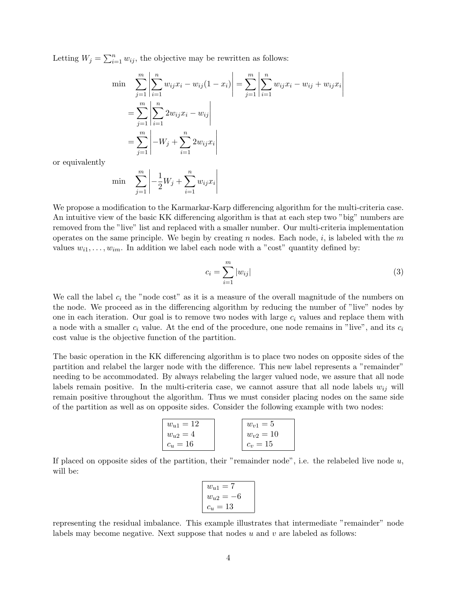Letting  $W_j = \sum_{i=1}^n w_{ij}$ , the objective may be rewritten as follows:

$$
\begin{aligned}\n\min \quad & \sum_{j=1}^{m} \left| \sum_{i=1}^{n} w_{ij} x_i - w_{ij} (1 - x_i) \right| = \sum_{j=1}^{m} \left| \sum_{i=1}^{n} w_{ij} x_i - w_{ij} + w_{ij} x_i \right| \\
&= \sum_{j=1}^{m} \left| \sum_{i=1}^{n} 2w_{ij} x_i - w_{ij} \right| \\
&= \sum_{j=1}^{m} \left| -W_j + \sum_{i=1}^{n} 2w_{ij} x_i \right|\n\end{aligned}
$$

or equivalently

min 
$$
\sum_{j=1}^{m} \left| -\frac{1}{2}W_j + \sum_{i=1}^{n} w_{ij}x_i \right|
$$

We propose a modification to the Karmarkar-Karp differencing algorithm for the multi-criteria case. An intuitive view of the basic KK differencing algorithm is that at each step two "big" numbers are removed from the "live" list and replaced with a smaller number. Our multi-criteria implementation operates on the same principle. We begin by creating n nodes. Each node, i, is labeled with the m values  $w_{i1}, \ldots, w_{im}$ . In addition we label each node with a "cost" quantity defined by:

$$
c_i = \sum_{i=1}^{m} |w_{ij}| \tag{3}
$$

We call the label  $c_i$  the "node cost" as it is a measure of the overall magnitude of the numbers on the node. We proceed as in the differencing algorithm by reducing the number of "live" nodes by one in each iteration. Our goal is to remove two nodes with large  $c_i$  values and replace them with a node with a smaller  $c_i$  value. At the end of the procedure, one node remains in "live", and its  $c_i$ cost value is the objective function of the partition.

The basic operation in the KK differencing algorithm is to place two nodes on opposite sides of the partition and relabel the larger node with the difference. This new label represents a "remainder" needing to be accommodated. By always relabeling the larger valued node, we assure that all node labels remain positive. In the multi-criteria case, we cannot assure that all node labels  $w_{ij}$  will remain positive throughout the algorithm. Thus we must consider placing nodes on the same side of the partition as well as on opposite sides. Consider the following example with two nodes:

| $w_{u1} = 12$ | $w_{v1}=5$    |
|---------------|---------------|
| $w_{u2}=4$    | $w_{v2} = 10$ |
| $c_u=16$      | $c_v = 15$    |

If placed on opposite sides of the partition, their "remainder node", i.e. the relabeled live node  $u$ , will be:

$$
w_{u1} = 7
$$
  

$$
w_{u2} = -6
$$
  

$$
c_u = 13
$$

representing the residual imbalance. This example illustrates that intermediate "remainder" node labels may become negative. Next suppose that nodes  $u$  and  $v$  are labeled as follows: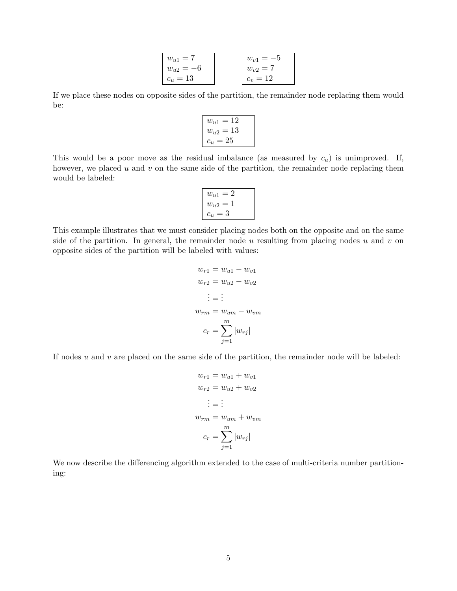| $w_{u1} = 7$  | $w_{v1} = -5$ |
|---------------|---------------|
| $w_{u2} = -6$ | $w_{v2} = 7$  |
| $c_u=13$      | $c_v = 12$    |

If we place these nodes on opposite sides of the partition, the remainder node replacing them would be:

| 12<br>$w_{u1}$<br>$=$ |  |
|-----------------------|--|
| 13<br>$w_{u2}$<br>—   |  |
| -25<br>$c_u$<br>Ξ     |  |

This would be a poor move as the residual imbalance (as measured by  $c_u$ ) is unimproved. If, however, we placed  $u$  and  $v$  on the same side of the partition, the remainder node replacing them would be labeled:

$$
w_{u1} = 2
$$
  

$$
w_{u2} = 1
$$
  

$$
c_u = 3
$$

This example illustrates that we must consider placing nodes both on the opposite and on the same side of the partition. In general, the remainder node u resulting from placing nodes u and v on opposite sides of the partition will be labeled with values:

$$
w_{r1} = w_{u1} - w_{v1}
$$
  
\n
$$
w_{r2} = w_{u2} - w_{v2}
$$
  
\n
$$
\vdots = \vdots
$$
  
\n
$$
w_{rm} = w_{um} - w_{vm}
$$
  
\n
$$
c_r = \sum_{j=1}^{m} |w_{rj}|
$$

If nodes  $u$  and  $v$  are placed on the same side of the partition, the remainder node will be labeled:

$$
w_{r1} = w_{u1} + w_{v1}
$$
  
\n
$$
w_{r2} = w_{u2} + w_{v2}
$$
  
\n
$$
\vdots = \vdots
$$
  
\n
$$
w_{rm} = w_{um} + w_{vm}
$$
  
\n
$$
c_r = \sum_{j=1}^{m} |w_{rj}|
$$

We now describe the differencing algorithm extended to the case of multi-criteria number partitioning: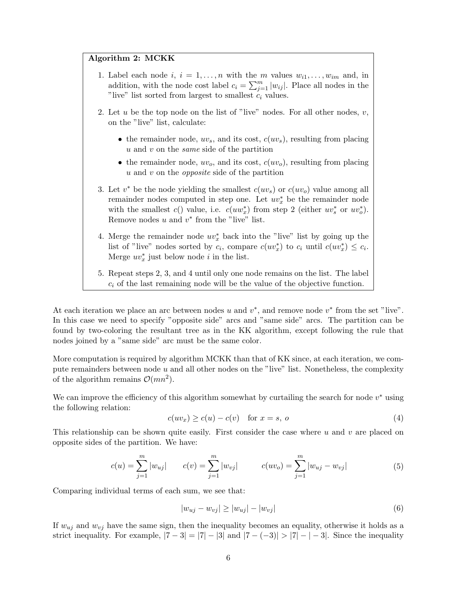#### Algorithm 2: MCKK

- 1. Label each node i,  $i = 1, \ldots, n$  with the m values  $w_{i1}, \ldots, w_{im}$  and, in addition, with the node cost label  $c_i = \sum_{j=1}^m |w_{ij}|$ . Place all nodes in the "live" list sorted from largest to smallest  $c_i$  values.
- 2. Let u be the top node on the list of "live" nodes. For all other nodes,  $v$ , on the "live" list, calculate:
	- the remainder node,  $uv_s$ , and its cost,  $c(uv_s)$ , resulting from placing u and v on the same side of the partition
	- the remainder node,  $uv_0$ , and its cost,  $c(uv_0)$ , resulting from placing  $u$  and  $v$  on the *opposite* side of the partition
- 3. Let  $v^*$  be the node yielding the smallest  $c(uv_s)$  or  $c(uv_o)$  value among all remainder nodes computed in step one. Let  $uv_x^*$  be the remainder node with the smallest  $c()$  value, i.e.  $c(uw_x^*)$  from step 2 (either  $uv_s^*$  or  $uv_o^*$ ). Remove nodes  $u$  and  $v^*$  from the "live" list.
- 4. Merge the remainder node  $uv_x^*$  back into the "live" list by going up the list of "live" nodes sorted by  $c_i$ , compare  $c(uv_x^*)$  to  $c_i$  until  $c(uv_x^*) \leq c_i$ . Merge  $uv_x^*$  just below node *i* in the list.
- 5. Repeat steps 2, 3, and 4 until only one node remains on the list. The label  $c_i$  of the last remaining node will be the value of the objective function.

At each iteration we place an arc between nodes u and  $v^*$ , and remove node  $v^*$  from the set "live". In this case we need to specify "opposite side" arcs and "same side" arcs. The partition can be found by two-coloring the resultant tree as in the KK algorithm, except following the rule that nodes joined by a "same side" arc must be the same color.

More computation is required by algorithm MCKK than that of KK since, at each iteration, we compute remainders between node  $u$  and all other nodes on the "live" list. Nonetheless, the complexity of the algorithm remains  $\mathcal{O}(mn^2)$ .

We can improve the efficiency of this algorithm somewhat by curtailing the search for node  $v^*$  using the following relation:

$$
c(uv_x) \ge c(u) - c(v) \quad \text{for } x = s, \ o
$$
 (4)

This relationship can be shown quite easily. First consider the case where  $u$  and  $v$  are placed on opposite sides of the partition. We have:

$$
c(u) = \sum_{j=1}^{m} |w_{uj}| \qquad c(v) = \sum_{j=1}^{m} |w_{vj}| \qquad c(uv_o) = \sum_{j=1}^{m} |w_{uj} - w_{vj}| \qquad (5)
$$

Comparing individual terms of each sum, we see that:

$$
|w_{uj} - w_{vj}| \ge |w_{uj}| - |w_{vj}| \tag{6}
$$

If  $w_{uj}$  and  $w_{vj}$  have the same sign, then the inequality becomes an equality, otherwise it holds as a strict inequality. For example,  $|7-3| = |7| - |3|$  and  $|7-(-3)| > |7| - |-3|$ . Since the inequality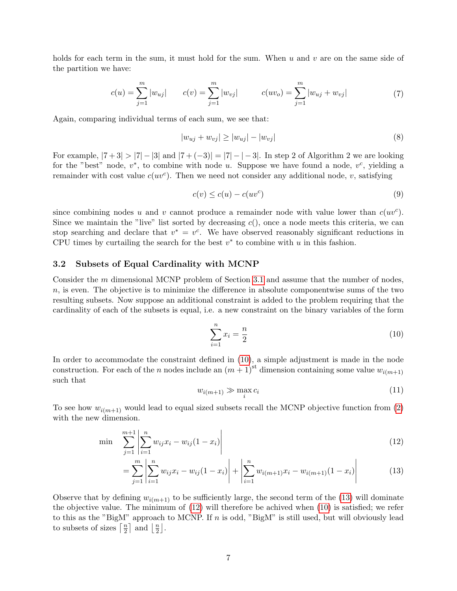holds for each term in the sum, it must hold for the sum. When  $u$  and  $v$  are on the same side of the partition we have:

$$
c(u) = \sum_{j=1}^{m} |w_{uj}| \qquad c(v) = \sum_{j=1}^{m} |w_{vj}| \qquad c(uv_o) = \sum_{j=1}^{m} |w_{uj} + w_{vj}| \qquad (7)
$$

Again, comparing individual terms of each sum, we see that:

$$
|w_{uj} + w_{vj}| \ge |w_{uj}| - |w_{vj}| \tag{8}
$$

For example,  $|7+3| > |7| - |3|$  and  $|7+(-3)| = |7|-1|$ . In step 2 of Algorithm 2 we are looking for the "best" node,  $v^*$ , to combine with node u. Suppose we have found a node,  $v^c$ , yielding a remainder with cost value  $c(uv^c)$ . Then we need not consider any additional node, v, satisfying

$$
c(v) \le c(u) - c(uv^c) \tag{9}
$$

since combining nodes u and v cannot produce a remainder node with value lower than  $c(uv^c)$ . Since we maintain the "live" list sorted by decreasing  $c()$ , once a node meets this criteria, we can stop searching and declare that  $v^* = v^c$ . We have observed reasonably significant reductions in CPU times by curtailing the search for the best  $v^*$  to combine with  $u$  in this fashion.

#### 3.2 Subsets of Equal Cardinality with MCNP

Consider the m dimensional MCNP problem of Section [3.1](#page-3-0) and assume that the number of nodes,  $n$ , is even. The objective is to minimize the difference in absolute componentwise sums of the two resulting subsets. Now suppose an additional constraint is added to the problem requiring that the cardinality of each of the subsets is equal, i.e. a new constraint on the binary variables of the form

<span id="page-7-0"></span>
$$
\sum_{i=1}^{n} x_i = \frac{n}{2}
$$
 (10)

In order to accommodate the constraint defined in [\(10\)](#page-7-0), a simple adjustment is made in the node construction. For each of the n nodes include an  $(m+1)$ <sup>st</sup> dimension containing some value  $w_{i(m+1)}$ such that

<span id="page-7-2"></span><span id="page-7-1"></span>
$$
w_{i(m+1)} \gg \max_i c_i \tag{11}
$$

To see how  $w_{i(m+1)}$  would lead to equal sized subsets recall the MCNP objective function from [\(2\)](#page-3-1) with the new dimension.

$$
\min \sum_{j=1}^{m+1} \left| \sum_{i=1}^{n} w_{ij} x_i - w_{ij} (1 - x_i) \right| \tag{12}
$$

$$
= \sum_{j=1}^{m} \left| \sum_{i=1}^{n} w_{ij} x_i - w_{ij} (1 - x_i) \right| + \left| \sum_{i=1}^{n} w_{i(m+1)} x_i - w_{i(m+1)} (1 - x_i) \right| \tag{13}
$$

Observe that by defining  $w_{i(m+1)}$  to be sufficiently large, the second term of the [\(13\)](#page-7-1) will dominate the objective value. The minimum of [\(12\)](#page-7-2) will therefore be achived when [\(10\)](#page-7-0) is satisfied; we refer to this as the "BigM" approach to MCNP. If n is odd, "BigM" is still used, but will obviously lead to subsets of sizes  $\lceil \frac{n}{2} \rceil$  $\frac{n}{2}$  and  $\frac{n}{2}$  $\frac{n}{2}$ .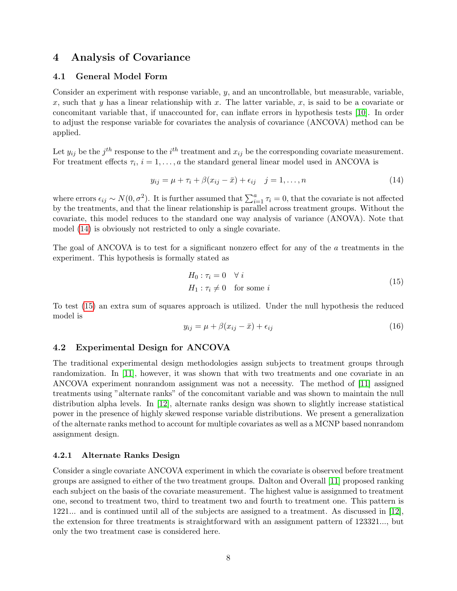## 4 Analysis of Covariance

#### 4.1 General Model Form

Consider an experiment with response variable,  $y$ , and an uncontrollable, but measurable, variable, x, such that y has a linear relationship with x. The latter variable, x, is said to be a covariate or concomitant variable that, if unaccounted for, can inflate errors in hypothesis tests [\[10\]](#page-17-9). In order to adjust the response variable for covariates the analysis of covariance (ANCOVA) method can be applied.

Let  $y_{ij}$  be the  $j^{th}$  response to the  $i^{th}$  treatment and  $x_{ij}$  be the corresponding covariate measurement. For treatment effects  $\tau_i$ ,  $i = 1, \ldots, a$  the standard general linear model used in ANCOVA is

<span id="page-8-0"></span>
$$
y_{ij} = \mu + \tau_i + \beta (x_{ij} - \bar{x}) + \epsilon_{ij} \quad j = 1, ..., n
$$
 (14)

where errors  $\epsilon_{ij} \sim N(0, \sigma^2)$ . It is further assumed that  $\sum_{i=1}^a \tau_i = 0$ , that the covariate is not affected by the treatments, and that the linear relationship is parallel across treatment groups. Without the covariate, this model reduces to the standard one way analysis of variance (ANOVA). Note that model [\(14\)](#page-8-0) is obviously not restricted to only a single covariate.

The goal of ANCOVA is to test for a significant nonzero effect for any of the a treatments in the experiment. This hypothesis is formally stated as

<span id="page-8-1"></span>
$$
H_0: \tau_i = 0 \quad \forall i
$$
  

$$
H_1: \tau_i \neq 0 \quad \text{for some } i
$$
 (15)

To test [\(15\)](#page-8-1) an extra sum of squares approach is utilized. Under the null hypothesis the reduced model is

$$
y_{ij} = \mu + \beta (x_{ij} - \bar{x}) + \epsilon_{ij}
$$
\n<sup>(16)</sup>

#### 4.2 Experimental Design for ANCOVA

The traditional experimental design methodologies assign subjects to treatment groups through randomization. In [\[11\]](#page-17-10), however, it was shown that with two treatments and one covariate in an ANCOVA experiment nonrandom assignment was not a necessity. The method of [\[11\]](#page-17-10) assigned treatments using "alternate ranks" of the concomitant variable and was shown to maintain the null distribution alpha levels. In [\[12\]](#page-17-11), alternate ranks design was shown to slightly increase statistical power in the presence of highly skewed response variable distributions. We present a generalization of the alternate ranks method to account for multiple covariates as well as a MCNP based nonrandom assignment design.

#### 4.2.1 Alternate Ranks Design

Consider a single covariate ANCOVA experiment in which the covariate is observed before treatment groups are assigned to either of the two treatment groups. Dalton and Overall [\[11\]](#page-17-10) proposed ranking each subject on the basis of the covariate measurement. The highest value is assignmed to treatment one, second to treatment two, third to treatment two and fourth to treatment one. This pattern is 1221... and is continued until all of the subjects are assigned to a treatment. As discussed in [\[12\]](#page-17-11), the extension for three treatments is straightforward with an assignment pattern of 123321..., but only the two treatment case is considered here.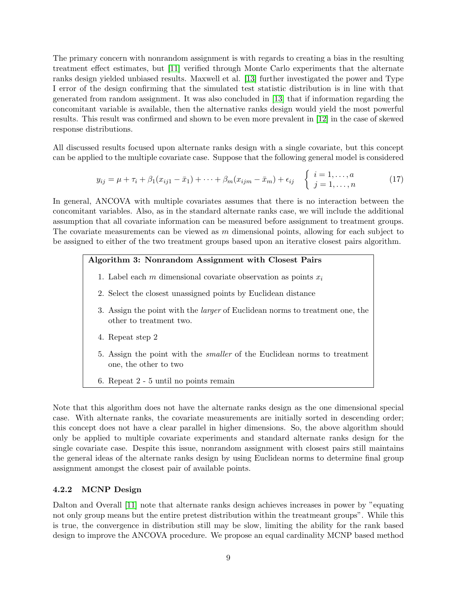The primary concern with nonrandom assignment is with regards to creating a bias in the resulting treatment effect estimates, but [\[11\]](#page-17-10) verified through Monte Carlo experiments that the alternate ranks design yielded unbiased results. Maxwell et al. [\[13\]](#page-17-12) further investigated the power and Type I error of the design confirming that the simulated test statistic distribution is in line with that generated from random assignment. It was also concluded in [\[13\]](#page-17-12) that if information regarding the concomitant variable is available, then the alternative ranks design would yield the most powerful results. This result was confirmed and shown to be even more prevalent in [\[12\]](#page-17-11) in the case of skewed response distributions.

All discussed results focused upon alternate ranks design with a single covariate, but this concept can be applied to the multiple covariate case. Suppose that the following general model is considered

<span id="page-9-0"></span>
$$
y_{ij} = \mu + \tau_i + \beta_1 (x_{ij1} - \bar{x}_1) + \dots + \beta_m (x_{ijm} - \bar{x}_m) + \epsilon_{ij} \quad \begin{cases} \ i = 1, \dots, a \\ \ j = 1, \dots, n \end{cases} \tag{17}
$$

In general, ANCOVA with multiple covariates assumes that there is no interaction between the concomitant variables. Also, as in the standard alternate ranks case, we will include the additional assumption that all covariate information can be measured before assignment to treatment groups. The covariate measurements can be viewed as  $m$  dimensional points, allowing for each subject to be assigned to either of the two treatment groups based upon an iterative closest pairs algorithm.

#### Algorithm 3: Nonrandom Assignment with Closest Pairs

- 1. Label each m dimensional covariate observation as points  $x_i$
- 2. Select the closest unassigned points by Euclidean distance
- 3. Assign the point with the larger of Euclidean norms to treatment one, the other to treatment two.
- 4. Repeat step 2
- 5. Assign the point with the smaller of the Euclidean norms to treatment one, the other to two
- 6. Repeat 2 5 until no points remain

Note that this algorithm does not have the alternate ranks design as the one dimensional special case. With alternate ranks, the covariate measurements are initially sorted in descending order; this concept does not have a clear parallel in higher dimensions. So, the above algorithm should only be applied to multiple covariate experiments and standard alternate ranks design for the single covariate case. Despite this issue, nonrandom assignment with closest pairs still maintains the general ideas of the alternate ranks design by using Euclidean norms to determine final group assignment amongst the closest pair of available points.

#### 4.2.2 MCNP Design

Dalton and Overall [\[11\]](#page-17-10) note that alternate ranks design achieves increases in power by "equating not only group means but the entire pretest distribution within the treatmeant groups". While this is true, the convergence in distribution still may be slow, limiting the ability for the rank based design to improve the ANCOVA procedure. We propose an equal cardinality MCNP based method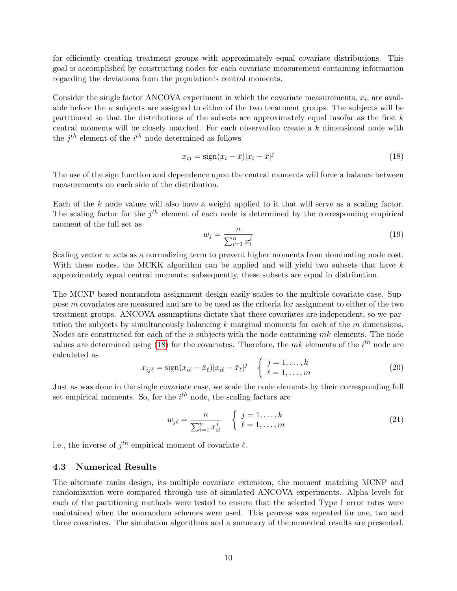for efficiently creating treatment groups with approximately equal covariate distributions. This goal is accomplished by constructing nodes for each covariate measurement containing information regarding the deviations from the population's central moments.

Consider the single factor ANCOVA experiment in which the covariate measurements,  $x_i$ , are available before the n subjects are assigned to either of the two treatment groups. The subjects will be partitioned so that the distributions of the subsets are approximately equal insofar as the first  $k$ central moments will be closely matched. For each observation create a k dimensional node with the  $j^{th}$  element of the  $i^{th}$  node determined as follows

<span id="page-10-0"></span>
$$
x_{ij} = \text{sign}(x_i - \bar{x})|x_i - \bar{x}|^j \tag{18}
$$

The use of the sign function and dependence upon the central moments will force a balance between measurements on each side of the distribution.

Each of the  $k$  node values will also have a weight applied to it that will serve as a scaling factor. The scaling factor for the  $j<sup>th</sup>$  element of each node is determined by the corresponding empirical moment of the full set as

$$
w_j = \frac{n}{\sum_{i=1}^n x_i^j} \tag{19}
$$

Scaling vector w acts as a normalizing term to prevent higher moments from dominating node cost. With these nodes, the MCKK algorithm can be applied and will yield two subsets that have k approximately equal central moments; subsequently, these subsets are equal in distribution.

The MCNP based nonrandom assignment design easily scales to the multiple covariate case. Suppose m covariates are measured and are to be used as the criteria for assignment to either of the two treatment groups. ANCOVA assumptions dictate that these covariates are independent, so we partition the subjects by simultaneously balancing  $k$  marginal moments for each of the  $m$  dimensions. Nodes are constructed for each of the  $n$  subjects with the node containing  $mk$  elements. The node values are determined using [\(18\)](#page-10-0) for the covariates. Therefore, the  $mk$  elements of the  $i^{th}$  node are calculated as

$$
x_{ij\ell} = \text{sign}(x_{i\ell} - \bar{x}_{\ell}) | x_{i\ell} - \bar{x}_{\ell} |^j \quad \begin{cases} \ j = 1, \dots, k \\ \ell = 1, \dots, m \end{cases}
$$
 (20)

Just as was done in the single covariate case, we scale the node elements by their corresponding full set empirical moments. So, for the  $i^{th}$  node, the scaling factors are

$$
w_{j\ell} = \frac{n}{\sum_{i=1}^{n} x_{i\ell}^j} \quad \begin{cases} \quad j = 1, \dots, k \\ \quad \ell = 1, \dots, m \end{cases} \tag{21}
$$

i.e., the inverse of  $j^{th}$  empirical moment of covariate  $\ell$ .

#### <span id="page-10-1"></span>4.3 Numerical Results

The alternate ranks design, its multiple covariate extension, the moment matching MCNP and randomization were compared through use of simulated ANCOVA experiments. Alpha levels for each of the partitioning methods were tested to ensure that the selected Type I error rates were maintained when the nonrandom schemes were used. This process was repeated for one, two and three covariates. The simulation algorithms and a summary of the numerical results are presented.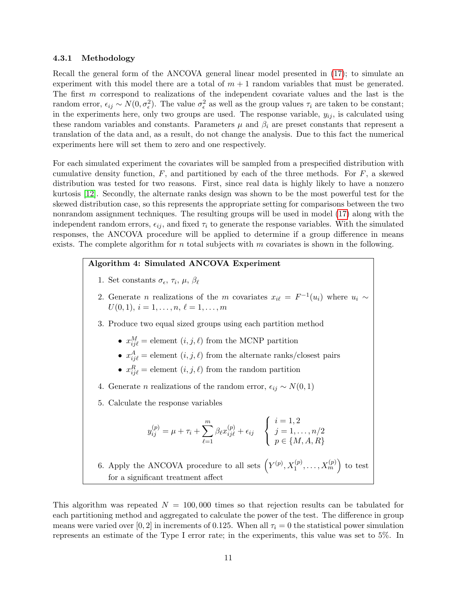#### <span id="page-11-0"></span>4.3.1 Methodology

Recall the general form of the ANCOVA general linear model presented in [\(17\)](#page-9-0); to simulate an experiment with this model there are a total of  $m + 1$  random variables that must be generated. The first m correspond to realizations of the independent covariate values and the last is the random error,  $\epsilon_{ij} \sim N(0, \sigma_{\epsilon}^2)$ . The value  $\sigma_{\epsilon}^2$  as well as the group values  $\tau_i$  are taken to be constant; in the experiments here, only two groups are used. The response variable,  $y_{ij}$ , is calculated using these random variables and constants. Parameters  $\mu$  and  $\beta_i$  are preset constants that represent a translation of the data and, as a result, do not change the analysis. Due to this fact the numerical experiments here will set them to zero and one respectively.

For each simulated experiment the covariates will be sampled from a prespecified distribution with cumulative density function,  $F$ , and partitioned by each of the three methods. For  $F$ , a skewed distribution was tested for two reasons. First, since real data is highly likely to have a nonzero kurtosis [\[12\]](#page-17-11). Secondly, the alternate ranks design was shown to be the most powerful test for the skewed distribution case, so this represents the appropriate setting for comparisons between the two nonrandom assignment techniques. The resulting groups will be used in model [\(17\)](#page-9-0) along with the independent random errors,  $\epsilon_{ij}$ , and fixed  $\tau_i$  to generate the response variables. With the simulated responses, the ANCOVA procedure will be applied to determine if a group difference in means exists. The complete algorithm for n total subjects with  $m$  covariates is shown in the following.

#### Algorithm 4: Simulated ANCOVA Experiment

- 1. Set constants  $\sigma_{\epsilon}$ ,  $\tau_i$ ,  $\mu$ ,  $\beta_{\ell}$
- 2. Generate *n* realizations of the *m* covariates  $x_{i\ell} = F^{-1}(u_i)$  where  $u_i \sim$  $U(0, 1), i = 1, \ldots, n, \ell = 1, \ldots, m$
- 3. Produce two equal sized groups using each partition method
	- $x_{ij\ell}^M$  = element  $(i, j, \ell)$  from the MCNP partition
	- $x_{ij\ell}^A =$  element  $(i, j, \ell)$  from the alternate ranks/closest pairs
	- $x_{ij\ell}^R$  = element  $(i, j, \ell)$  from the random partition
- 4. Generate *n* realizations of the random error,  $\epsilon_{ij} \sim N(0, 1)$
- 5. Calculate the response variables

$$
y_{ij}^{(p)} = \mu + \tau_i + \sum_{\ell=1}^{m} \beta_{\ell} x_{ij\ell}^{(p)} + \epsilon_{ij} \quad \begin{cases} i = 1, 2 \\ j = 1, \dots, n/2 \\ p \in \{M, A, R\} \end{cases}
$$

6. Apply the ANCOVA procedure to all sets  $(Y^{(p)}, X_1^{(p)}, \ldots, X_m^{(p)})$  to test for a significant treatment affect

This algorithm was repeated  $N = 100,000$  times so that rejection results can be tabulated for each partitioning method and aggregated to calculate the power of the test. The difference in group means were varied over [0, 2] in increments of 0.125. When all  $\tau_i = 0$  the statistical power simulation represents an estimate of the Type I error rate; in the experiments, this value was set to 5%. In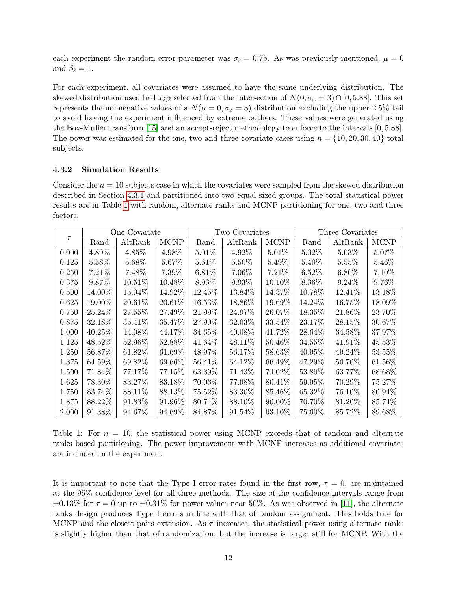each experiment the random error parameter was  $\sigma_{\epsilon} = 0.75$ . As was previously mentioned,  $\mu = 0$ and  $\beta_{\ell} = 1$ .

For each experiment, all covariates were assumed to have the same underlying distribution. The skewed distribution used had  $x_{ij\ell}$  selected from the intersection of  $N(0, \sigma_x = 3) \cap [0, 5.88]$ . This set represents the nonnegative values of a  $N(\mu = 0, \sigma_x = 3)$  distribution excluding the upper 2.5% tail to avoid having the experiment influenced by extreme outliers. These values were generated using the Box-Muller transform [\[15\]](#page-17-13) and an accept-reject methodology to enforce to the intervals [0, 5.88]. The power was estimated for the one, two and three covariate cases using  $n = \{10, 20, 30, 40\}$  total subjects.

#### 4.3.2 Simulation Results

Consider the  $n = 10$  subjects case in which the covariates were sampled from the skewed distribution described in Section [4.3.1](#page-11-0) and partitioned into two equal sized groups. The total statistical power results are in Table [1](#page-12-0) with random, alternate ranks and MCNP partitioning for one, two and three factors.

|        | One Covariate |           |             | Two Covariates |          |             | Three Covariates |          |             |
|--------|---------------|-----------|-------------|----------------|----------|-------------|------------------|----------|-------------|
| $\tau$ | Rand          | AltRank   | <b>MCNP</b> | Rand           | AltRank  | <b>MCNP</b> | Rand             | AltRank  | <b>MCNP</b> |
| 0.000  | 4.89%         | 4.85%     | 4.98%       | $5.01\%$       | 4.92%    | $5.01\%$    | 5.02%            | $5.03\%$ | 5.07%       |
| 0.125  | 5.58%         | 5.68%     | 5.67%       | 5.61%          | $5.50\%$ | 5.49%       | 5.40\%           | $5.55\%$ | 5.46%       |
| 0.250  | 7.21%         | 7.48\%    | 7.39%       | 6.81%          | $7.06\%$ | 7.21\%      | $6.52\%$         | $6.80\%$ | 7.10%       |
| 0.375  | 9.87%         | 10.51\%   | 10.48%      | 8.93%          | 9.93%    | $10.10\%$   | 8.36%            | 9.24\%   | 9.76%       |
| 0.500  | 14.00%        | 15.04%    | 14.92%      | 12.45%         | 13.84%   | 14.37%      | 10.78%           | 12.41%   | 13.18%      |
| 0.625  | $19.00\%$     | 20.61%    | 20.61%      | $16.53\%$      | 18.86%   | $19.69\%$   | 14.24\%          | 16.75\%  | 18.09%      |
| 0.750  | 25.24\%       | 27.55%    | 27.49%      | $21.99\%$      | 24.97%   | 26.07\%     | $18.35\%$        | 21.86\%  | 23.70\%     |
| 0.875  | 32.18%        | 35.41\%   | 35.47%      | 27.90%         | 32.03\%  | 33.54\%     | 23.17\%          | 28.15\%  | 30.67%      |
| 1.000  | 40.25%        | 44.08%    | 44.17%      | $34.65\%$      | 40.08%   | 41.72\%     | 28.64%           | 34.58%   | 37.97%      |
| 1.125  | 48.52%        | 52.96%    | 52.88%      | 41.64\%        | 48.11\%  | $50.46\%$   | $34.55\%$        | 41.91\%  | 45.53%      |
| 1.250  | $56.87\%$     | $61.82\%$ | $61.69\%$   | 48.97%         | 56.17\%  | $58.63\%$   | $40.95\%$        | 49.24\%  | $53.55\%$   |
| 1.375  | 64.59%        | 69.82\%   | 69.66\%     | $56.41\%$      | 64.12\%  | 66.49%      | 47.29%           | 56.70%   | $61.56\%$   |
| 1.500  | 71.84\%       | 77.17%    | $77.15\%$   | $63.39\%$      | 71.43\%  | 74.02\%     | $53.80\%$        | 63.77%   | 68.68%      |
| 1.625  | 78.30%        | 83.27%    | 83.18%      | 70.03%         | 77.98%   | 80.41\%     | $59.95\%$        | 70.29%   | 75.27%      |
| 1.750  | 83.74%        | 88.11\%   | 88.13\%     | $75.52\%$      | 83.30\%  | 85.46\%     | 65.32\%          | 76.10\%  | 80.94\%     |
| 1.875  | 88.22\%       | 91.83\%   | 91.96\%     | 80.74\%        | 88.10\%  | $90.00\%$   | 70.70%           | 81.20%   | 85.74\%     |
| 2.000  | 91.38\%       | 94.67\%   | 94.69%      | 84.87%         | 91.54\%  | 93.10\%     | $75.60\%$        | 85.72\%  | 89.68%      |

<span id="page-12-0"></span>Table 1: For  $n = 10$ , the statistical power using MCNP exceeds that of random and alternate ranks based partitioning. The power improvement with MCNP increases as additional covariates are included in the experiment

It is important to note that the Type I error rates found in the first row,  $\tau = 0$ , are maintained at the 95% confidence level for all three methods. The size of the confidence intervals range from  $\pm 0.13\%$  for  $\tau = 0$  up to  $\pm 0.31\%$  for power values near 50%. As was observed in [\[11\]](#page-17-10), the alternate ranks design produces Type I errors in line with that of random assignment. This holds true for MCNP and the closest pairs extension. As  $\tau$  increases, the statistical power using alternate ranks is slightly higher than that of randomization, but the increase is larger still for MCNP. With the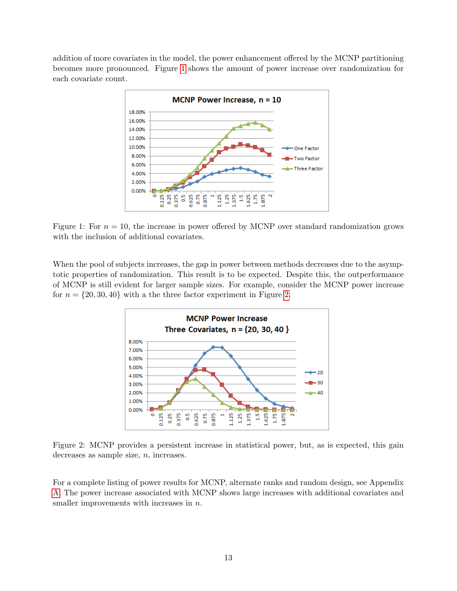addition of more covariates in the model, the power enhancement offered by the MCNP partitioning becomes more pronounced. Figure [1](#page-13-0) shows the amount of power increase over randomization for each covariate count.



Figure 1: For  $n = 10$ , the increase in power offered by MCNP over standard randomization grows with the inclusion of additional covariates.

When the pool of subjects increases, the gap in power between methods decreases due to the asymptotic properties of randomization. This result is to be expected. Despite this, the outperformance of MCNP is still evident for larger sample sizes. For example, consider the MCNP power increase for  $n = \{20, 30, 40\}$  with a the three factor experiment in Figure [2.](#page-13-1)

<span id="page-13-1"></span><span id="page-13-0"></span>

Figure 2: MCNP provides a persistent increase in statistical power, but, as is expected, this gain decreases as sample size,  $n$ , increases.

For a complete listing of power results for MCNP, alternate ranks and random design, see Appendix [A.](#page-15-0) The power increase associated with MCNP shows large increases with additional covariates and smaller improvements with increases in  $n$ .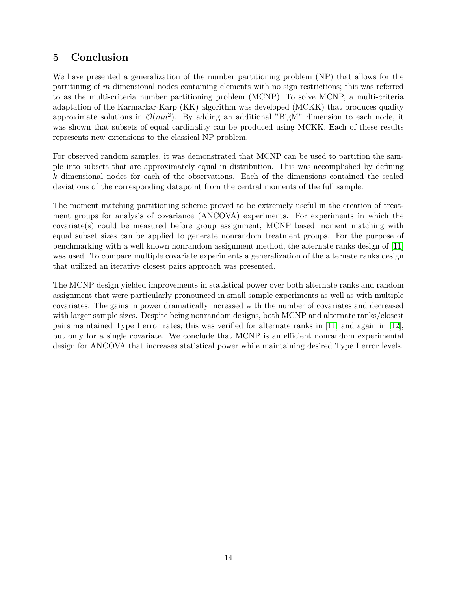# 5 Conclusion

We have presented a generalization of the number partitioning problem (NP) that allows for the partitining of m dimensional nodes containing elements with no sign restrictions; this was referred to as the multi-criteria number partitioning problem (MCNP). To solve MCNP, a multi-criteria adaptation of the Karmarkar-Karp (KK) algorithm was developed (MCKK) that produces quality approximate solutions in  $\mathcal{O}(mn^2)$ . By adding an additional "BigM" dimension to each node, it was shown that subsets of equal cardinality can be produced using MCKK. Each of these results represents new extensions to the classical NP problem.

For observed random samples, it was demonstrated that MCNP can be used to partition the sample into subsets that are approximately equal in distribution. This was accomplished by defining k dimensional nodes for each of the observations. Each of the dimensions contained the scaled deviations of the corresponding datapoint from the central moments of the full sample.

The moment matching partitioning scheme proved to be extremely useful in the creation of treatment groups for analysis of covariance (ANCOVA) experiments. For experiments in which the covariate(s) could be measured before group assignment, MCNP based moment matching with equal subset sizes can be applied to generate nonrandom treatment groups. For the purpose of benchmarking with a well known nonrandom assignment method, the alternate ranks design of [\[11\]](#page-17-10) was used. To compare multiple covariate experiments a generalization of the alternate ranks design that utilized an iterative closest pairs approach was presented.

The MCNP design yielded improvements in statistical power over both alternate ranks and random assignment that were particularly pronounced in small sample experiments as well as with multiple covariates. The gains in power dramatically increased with the number of covariates and decreased with larger sample sizes. Despite being nonrandom designs, both MCNP and alternate ranks/closest pairs maintained Type I error rates; this was verified for alternate ranks in [\[11\]](#page-17-10) and again in [\[12\]](#page-17-11), but only for a single covariate. We conclude that MCNP is an efficient nonrandom experimental design for ANCOVA that increases statistical power while maintaining desired Type I error levels.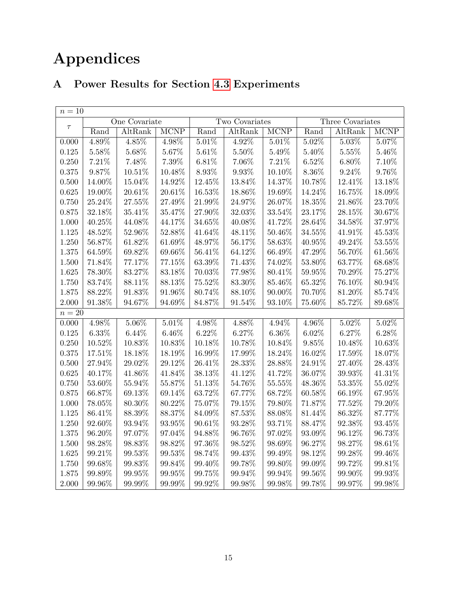# Appendices

# <span id="page-15-0"></span>A Power Results for Section [4.3](#page-10-1) Experiments

| $n=10$ |               |           |                |           |          |                  |          |                             |             |
|--------|---------------|-----------|----------------|-----------|----------|------------------|----------|-----------------------------|-------------|
| $\tau$ | One Covariate |           | Two Covariates |           |          | Three Covariates |          |                             |             |
|        | Rand          | AltRank   | <b>MCNP</b>    | Rand      | AltRank  | <b>MCNP</b>      | Rand     | $\overline{\text{AltRank}}$ | <b>MCNP</b> |
| 0.000  | 4.89%         | $4.85\%$  | 4.98%          | 5.01%     | $4.92\%$ | $5.01\%$         | $5.02\%$ | $5.03\%$                    | $5.07\%$    |
| 0.125  | 5.58%         | $5.68\%$  | 5.67%          | 5.61%     | 5.50%    | 5.49%            | 5.40%    | 5.55%                       | 5.46%       |
| 0.250  | 7.21%         | 7.48%     | 7.39%          | 6.81%     | 7.06%    | 7.21%            | $6.52\%$ | $6.80\%$                    | 7.10%       |
| 0.375  | 9.87%         | $10.51\%$ | 10.48%         | 8.93%     | 9.93%    | 10.10%           | 8.36%    | 9.24%                       | 9.76%       |
| 0.500  | 14.00%        | 15.04%    | 14.92%         | 12.45%    | 13.84%   | 14.37%           | 10.78%   | 12.41%                      | 13.18%      |
| 0.625  | 19.00%        | 20.61%    | 20.61%         | $16.53\%$ | 18.86%   | 19.69%           | 14.24%   | 16.75%                      | 18.09%      |
| 0.750  | 25.24%        | 27.55%    | 27.49%         | 21.99%    | 24.97%   | 26.07%           | 18.35%   | 21.86%                      | 23.70%      |
| 0.875  | 32.18%        | 35.41%    | 35.47%         | 27.90%    | 32.03%   | 33.54%           | 23.17%   | 28.15%                      | $30.67\%$   |
| 1.000  | 40.25%        | 44.08%    | 44.17%         | 34.65%    | 40.08%   | 41.72%           | 28.64%   | 34.58%                      | 37.97%      |
| 1.125  | 48.52%        | 52.96%    | 52.88%         | 41.64%    | 48.11%   | 50.46%           | 34.55%   | 41.91%                      | $45.53\%$   |
| 1.250  | 56.87%        | 61.82%    | 61.69%         | $48.97\%$ | 56.17%   | $58.63\%$        | 40.95%   | 49.24\%                     | 53.55%      |
| 1.375  | 64.59%        | 69.82%    | 69.66%         | 56.41%    | 64.12%   | 66.49%           | 47.29%   | 56.70%                      | $61.56\%$   |
| 1.500  | 71.84%        | 77.17%    | 77.15%         | 63.39%    | 71.43%   | 74.02%           | 53.80%   | 63.77%                      | $68.68\%$   |
| 1.625  | 78.30%        | 83.27%    | 83.18%         | 70.03%    | 77.98%   | 80.41\%          | 59.95%   | 70.29%                      | 75.27%      |
| 1.750  | $83.74\%$     | 88.11%    | 88.13%         | $75.52\%$ | 83.30%   | 85.46\%          | 65.32%   | 76.10%                      | 80.94%      |
| 1.875  | 88.22%        | 91.83%    | 91.96%         | 80.74%    | 88.10%   | 90.00%           | 70.70%   | 81.20%                      | 85.74%      |
| 2.000  | 91.38%        | $94.67\%$ | 94.69%         | 84.87%    | 91.54%   | 93.10%           | 75.60%   | 85.72%                      | 89.68%      |
| $n=20$ |               |           |                |           |          |                  |          |                             |             |
| 0.000  | 4.98%         | $5.06\%$  | 5.01%          | 4.98%     | 4.88%    | 4.94%            | $4.96\%$ | $5.02\%$                    | $5.02\%$    |
| 0.125  | $6.33\%$      | 6.44%     | $6.46\%$       | 6.22%     | 6.27%    | $6.36\%$         | 6.02%    | 6.27%                       | 6.28%       |
| 0.250  | 10.52%        | 10.83%    | 10.83%         | 10.18%    | 10.78%   | 10.84%           | $9.85\%$ | 10.48%                      | $10.63\%$   |
| 0.375  | 17.51%        | 18.18%    | 18.19%         | 16.99%    | 17.99%   | 18.24%           | 16.02%   | 17.59%                      | 18.07%      |
| 0.500  | 27.94%        | 29.02%    | 29.12%         | 26.41%    | 28.33%   | 28.88%           | 24.91%   | 27.40%                      | 28.43%      |
| 0.625  | 40.17%        | 41.86%    | 41.84%         | 38.13%    | 41.12%   | 41.72%           | 36.07%   | 39.93%                      | 41.31%      |
| 0.750  | 53.60%        | 55.94%    | 55.87%         | 51.13%    | 54.76%   | $55.55\%$        | 48.36%   | $53.35\%$                   | $55.02\%$   |
| 0.875  | 66.87%        | 69.13%    | 69.14%         | 63.72%    | 67.77%   | 68.72%           | 60.58%   | 66.19%                      | 67.95%      |
| 1.000  | 78.05%        | 80.30%    | $80.22\%$      | 75.07%    | 79.15%   | 79.80%           | 71.87%   | 77.52%                      | 79.20%      |
| 1.125  | 86.41%        | 88.39%    | 88.37%         | 84.09%    | 87.53%   | 88.08%           | 81.44%   | 86.32%                      | 87.77%      |
| 1.250  | 92.60%        | 93.94%    | 93.95%         | 90.61%    | 93.28%   | 93.71%           | 88.47%   | 92.38%                      | $93.45\%$   |
| 1.375  | 96.20%        | 97.07%    | 97.04%         | 94.88%    | 96.76%   | 97.02%           | 93.09%   | 96.12%                      | $96.73\%$   |
| 1.500  | 98.28%        | 98.83%    | 98.82%         | 97.36%    | 98.52%   | 98.69%           | 96.27%   | 98.27%                      | 98.61%      |
| 1.625  | 99.21%        | 99.53%    | 99.53%         | 98.74%    | 99.43%   | 99.49%           | 98.12%   | 99.28%                      | 99.46%      |
| 1.750  | 99.68%        | 99.83%    | 99.84%         | 99.40%    | 99.78%   | 99.80%           | 99.09%   | 99.72%                      | 99.81%      |
| 1.875  | 99.89%        | 99.95%    | 99.95%         | 99.75%    | 99.94%   | 99.94%           | 99.56%   | 99.90%                      | $99.93\%$   |
| 2.000  | 99.96%        | 99.99%    | 99.99%         | 99.92%    | 99.98%   | 99.98%           | 99.78%   | 99.97%                      | 99.98%      |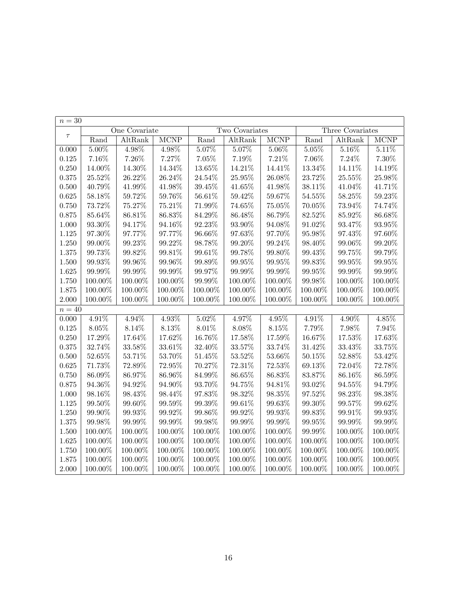| $n=30$ |               |            |             |                |           |             |                  |           |             |
|--------|---------------|------------|-------------|----------------|-----------|-------------|------------------|-----------|-------------|
|        | One Covariate |            |             | Two Covariates |           |             | Three Covariates |           |             |
| $\tau$ | Rand          | AltRank    | <b>MCNP</b> | Rand           | AltRank   | <b>MCNP</b> | Rand             | AltRank   | <b>MCNP</b> |
| 0.000  | $5.00\%$      | 4.98%      | 4.98%       | $5.07\%$       | $5.07\%$  | $5.06\%$    | 5.05%            | $5.16\%$  | 5.11%       |
| 0.125  | $7.16\%$      | 7.26%      | 7.27%       | $7.05\%$       | $7.19\%$  | 7.21%       | $7.06\%$         | 7.24%     | $7.30\%$    |
| 0.250  | 14.00%        | 14.30%     | 14.34%      | 13.65%         | 14.21%    | 14.41%      | $13.34\%$        | 14.11%    | 14.19%      |
| 0.375  | 25.52%        | 26.22%     | 26.24%      | 24.54%         | 25.95%    | $26.08\%$   | $23.72\%$        | 25.55%    | $25.98\%$   |
| 0.500  | 40.79%        | 41.99%     | 41.98%      | $39.45\%$      | $41.65\%$ | 41.98%      | $38.11\%$        | 41.04%    | 41.71%      |
| 0.625  | 58.18%        | 59.72%     | $59.76\%$   | $56.61\%$      | $59.42\%$ | $59.67\%$   | $54.55\%$        | 58.25%    | $59.23\%$   |
| 0.750  | 73.72%        | 75.27%     | 75.21%      | 71.99%         | 74.65%    | $75.05\%$   | 70.05%           | 73.94%    | 74.74%      |
| 0.875  | $85.64\%$     | 86.81%     | 86.83%      | 84.29%         | 86.48%    | 86.79%      | 82.52%           | 85.92%    | 86.68%      |
| 1.000  | 93.30%        | 94.17%     | 94.16%      | 92.23%         | 93.90%    | 94.08%      | 91.02%           | 93.47%    | 93.95%      |
| 1.125  | 97.30%        | 97.77%     | 97.77%      | 96.66%         | 97.63%    | 97.70%      | 95.98%           | 97.43%    | 97.60%      |
| 1.250  | 99.00%        | $99.23\%$  | 99.22%      | 98.78%         | $99.20\%$ | 99.24%      | $98.40\%$        | $99.06\%$ | 99.20%      |
| 1.375  | 99.73%        | 99.82%     | 99.81%      | 99.61%         | 99.78%    | 99.80%      | 99.43%           | 99.75%    | 99.79%      |
| 1.500  | 99.93%        | 99.96%     | 99.96%      | 99.89%         | 99.95%    | 99.95%      | 99.83%           | 99.95%    | $99.95\%$   |
| 1.625  | 99.99%        | 99.99%     | 99.99%      | 99.97%         | 99.99%    | 99.99%      | 99.95%           | 99.99%    | 99.99%      |
| 1.750  | 100.00%       | 100.00%    | 100.00%     | 99.99%         | 100.00%   | 100.00%     | $99.98\%$        | 100.00%   | $100.00\%$  |
| 1.875  | 100.00%       | 100.00%    | 100.00%     | 100.00%        | 100.00%   | 100.00%     | 100.00%          | 100.00%   | $100.00\%$  |
| 2.000  | 100.00%       | 100.00%    | 100.00%     | 100.00%        | 100.00%   | 100.00%     | 100.00%          | 100.00%   | 100.00%     |
| $n=40$ |               |            |             |                |           |             |                  |           |             |
| 0.000  | 4.91%         | $4.94\%$   | $4.93\%$    | $5.02\%$       | 4.97%     | 4.95%       | 4.91%            | $4.90\%$  | 4.85%       |
| 0.125  | 8.05%         | 8.14%      | 8.13%       | 8.01%          | 8.08%     | 8.15%       | 7.79%            | 7.98%     | 7.94%       |
| 0.250  | 17.29%        | 17.64%     | 17.62%      | 16.76%         | 17.58%    | 17.59%      | 16.67%           | 17.53%    | 17.63%      |
| 0.375  | 32.74%        | 33.58%     | $33.61\%$   | $32.40\%$      | $33.57\%$ | 33.74%      | $31.42\%$        | $33.43\%$ | 33.75%      |
| 0.500  | 52.65%        | 53.71%     | 53.70%      | 51.45%         | $53.52\%$ | 53.66%      | 50.15%           | 52.88%    | $53.42\%$   |
| 0.625  | 71.73%        | 72.89%     | 72.95%      | 70.27%         | 72.31%    | 72.53%      | 69.13%           | 72.04%    | 72.78%      |
| 0.750  | 86.09%        | 86.97%     | 86.96%      | 84.99%         | $86.65\%$ | 86.83%      | 83.87%           | 86.16%    | 86.59%      |
| 0.875  | 94.36%        | 94.92%     | 94.90%      | 93.70%         | $94.75\%$ | 94.81%      | 93.02%           | 94.55%    | 94.79%      |
| 1.000  | 98.16%        | 98.43%     | 98.44%      | 97.83%         | 98.32%    | 98.35%      | 97.52%           | 98.23%    | 98.38%      |
| 1.125  | $99.50\%$     | 99.60%     | 99.59%      | $99.39\%$      | $99.61\%$ | 99.63%      | $99.30\%$        | 99.57%    | 99.62%      |
| 1.250  | 99.90%        | 99.93%     | 99.92%      | 99.86%         | 99.92%    | 99.93%      | 99.83%           | 99.91%    | $99.93\%$   |
| 1.375  | 99.98%        | $99.99\%$  | 99.99%      | 99.98%         | 99.99%    | 99.99%      | 99.95%           | 99.99%    | 99.99%      |
| 1.500  | 100.00%       | 100.00%    | 100.00%     | 100.00%        | 100.00%   | 100.00%     | 99.99%           | 100.00%   | 100.00%     |
| 1.625  | $100.00\%$    | 100.00%    | 100.00%     | 100.00%        | 100.00%   | 100.00%     | 100.00%          | 100.00%   | $100.00\%$  |
| 1.750  | 100.00%       | 100.00%    | 100.00%     | $100.00\%$     | 100.00%   | 100.00%     | 100.00%          | 100.00%   | $100.00\%$  |
| 1.875  | $100.00\%$    | 100.00%    | 100.00%     | 100.00%        | 100.00%   | 100.00%     | $100.00\%$       | 100.00%   | 100.00%     |
| 2.000  | 100.00%       | $100.00\%$ | 100.00%     | 100.00%        | 100.00%   | 100.00%     | 100.00%          | 100.00%   | 100.00%     |